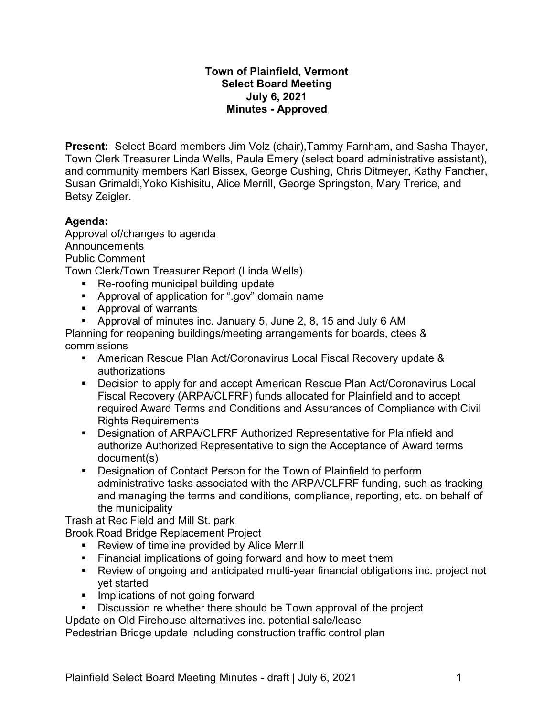# **Town of Plainfield, Vermont Select Board Meeting July 6, 2021 Minutes - Approved**

**Present:** Select Board members Jim Volz (chair),Tammy Farnham, and Sasha Thayer, Town Clerk Treasurer Linda Wells, Paula Emery (select board administrative assistant), and community members Karl Bissex, George Cushing, Chris Ditmeyer, Kathy Fancher, Susan Grimaldi,Yoko Kishisitu, Alice Merrill, George Springston, Mary Trerice, and Betsy Zeigler.

# **Agenda:**

Approval of/changes to agenda Announcements Public Comment Town Clerk/Town Treasurer Report (Linda Wells)

- Re-roofing municipal building update
- Approval of application for ".gov" domain name
- Approval of warrants
- § Approval of minutes inc. January 5, June 2, 8, 15 and July 6 AM

Planning for reopening buildings/meeting arrangements for boards, ctees & commissions

- American Rescue Plan Act/Coronavirus Local Fiscal Recovery update & authorizations
- Decision to apply for and accept American Rescue Plan Act/Coronavirus Local Fiscal Recovery (ARPA/CLFRF) funds allocated for Plainfield and to accept required Award Terms and Conditions and Assurances of Compliance with Civil Rights Requirements
- § Designation of ARPA/CLFRF Authorized Representative for Plainfield and authorize Authorized Representative to sign the Acceptance of Award terms document(s)
- § Designation of Contact Person for the Town of Plainfield to perform administrative tasks associated with the ARPA/CLFRF funding, such as tracking and managing the terms and conditions, compliance, reporting, etc. on behalf of the municipality

Trash at Rec Field and Mill St. park

Brook Road Bridge Replacement Project

- Review of timeline provided by Alice Merrill
- **•** Financial implications of going forward and how to meet them
- Review of ongoing and anticipated multi-year financial obligations inc. project not yet started
- Implications of not going forward
- Discussion re whether there should be Town approval of the project

Update on Old Firehouse alternatives inc. potential sale/lease

Pedestrian Bridge update including construction traffic control plan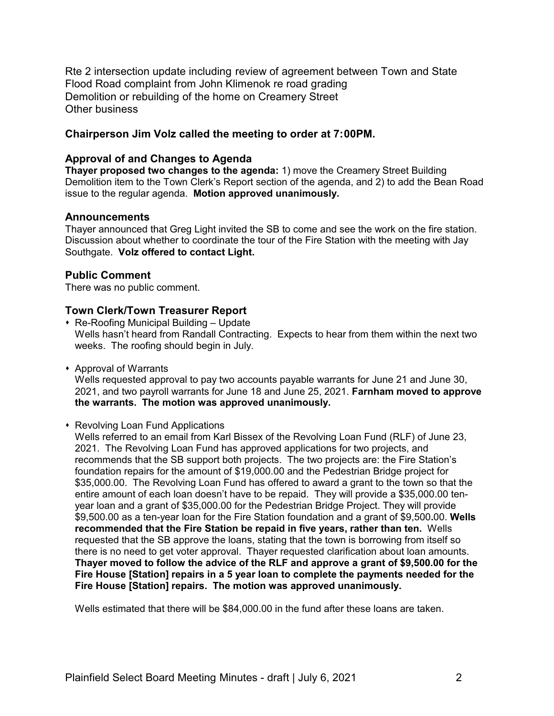Rte 2 intersection update including review of agreement between Town and State Flood Road complaint from John Klimenok re road grading Demolition or rebuilding of the home on Creamery Street Other business

## **Chairperson Jim Volz called the meeting to order at 7:00PM.**

### **Approval of and Changes to Agenda**

**Thayer proposed two changes to the agenda:** 1) move the Creamery Street Building Demolition item to the Town Clerk's Report section of the agenda, and 2) to add the Bean Road issue to the regular agenda. **Motion approved unanimously.**

### **Announcements**

Thayer announced that Greg Light invited the SB to come and see the work on the fire station. Discussion about whether to coordinate the tour of the Fire Station with the meeting with Jay Southgate. **Volz offered to contact Light.**

## **Public Comment**

There was no public comment.

## **Town Clerk/Town Treasurer Report**

- $\cdot$  Re-Roofing Municipal Building Update Wells hasn't heard from Randall Contracting. Expects to hear from them within the next two weeks. The roofing should begin in July.
- **\*** Approval of Warrants

Wells requested approval to pay two accounts payable warrants for June 21 and June 30, 2021, and two payroll warrants for June 18 and June 25, 2021. **Farnham moved to approve the warrants. The motion was approved unanimously.**

### **\* Revolving Loan Fund Applications**

Wells referred to an email from Karl Bissex of the Revolving Loan Fund (RLF) of June 23, 2021. The Revolving Loan Fund has approved applications for two projects, and recommends that the SB support both projects. The two projects are: the Fire Station's foundation repairs for the amount of \$19,000.00 and the Pedestrian Bridge project for \$35,000.00. The Revolving Loan Fund has offered to award a grant to the town so that the entire amount of each loan doesn't have to be repaid. They will provide a \$35,000.00 tenyear loan and a grant of \$35,000.00 for the Pedestrian Bridge Project. They will provide \$9,500.00 as a ten-year loan for the Fire Station foundation and a grant of \$9,500**.**00. **Wells recommended that the Fire Station be repaid in five years, rather than ten.** Wells requested that the SB approve the loans, stating that the town is borrowing from itself so there is no need to get voter approval. Thayer requested clarification about loan amounts. **Thayer moved to follow the advice of the RLF and approve a grant of \$9,500.00 for the Fire House [Station] repairs in a 5 year loan to complete the payments needed for the Fire House [Station] repairs. The motion was approved unanimously.**

Wells estimated that there will be \$84,000.00 in the fund after these loans are taken.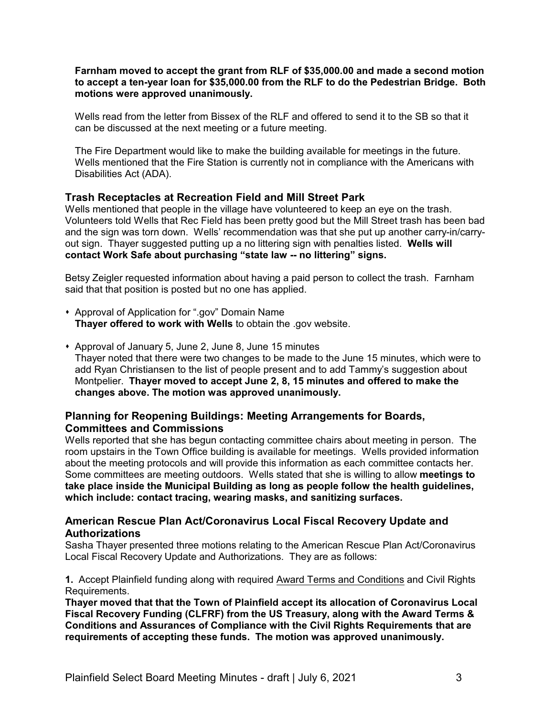**Farnham moved to accept the grant from RLF of \$35,000.00 and made a second motion to accept a ten-year loan for \$35,000.00 from the RLF to do the Pedestrian Bridge. Both motions were approved unanimously.**

Wells read from the letter from Bissex of the RLF and offered to send it to the SB so that it can be discussed at the next meeting or a future meeting.

The Fire Department would like to make the building available for meetings in the future. Wells mentioned that the Fire Station is currently not in compliance with the Americans with Disabilities Act (ADA).

### **Trash Receptacles at Recreation Field and Mill Street Park**

Wells mentioned that people in the village have volunteered to keep an eye on the trash. Volunteers told Wells that Rec Field has been pretty good but the Mill Street trash has been bad and the sign was torn down. Wells' recommendation was that she put up another carry-in/carryout sign. Thayer suggested putting up a no littering sign with penalties listed. **Wells will contact Work Safe about purchasing "state law -- no littering" signs.**

Betsy Zeigler requested information about having a paid person to collect the trash. Farnham said that that position is posted but no one has applied.

- Approval of Application for ".gov" Domain Name **Thayer offered to work with Wells** to obtain the .gov website.
- Approval of January 5, June 2, June 8, June 15 minutes Thayer noted that there were two changes to be made to the June 15 minutes, which were to add Ryan Christiansen to the list of people present and to add Tammy's suggestion about Montpelier. **Thayer moved to accept June 2, 8, 15 minutes and offered to make the changes above. The motion was approved unanimously.**

## **Planning for Reopening Buildings: Meeting Arrangements for Boards, Committees and Commissions**

Wells reported that she has begun contacting committee chairs about meeting in person. The room upstairs in the Town Office building is available for meetings. Wells provided information about the meeting protocols and will provide this information as each committee contacts her. Some committees are meeting outdoors. Wells stated that she is willing to allow **meetings to take place inside the Municipal Building as long as people follow the health guidelines, which include: contact tracing, wearing masks, and sanitizing surfaces.**

### **American Rescue Plan Act/Coronavirus Local Fiscal Recovery Update and Authorizations**

Sasha Thayer presented three motions relating to the American Rescue Plan Act/Coronavirus Local Fiscal Recovery Update and Authorizations. They are as follows:

**1.** Accept Plainfield funding along with required [Award Terms and Conditions](file:///|//_blank) and Civil Rights Requirements.

**Thayer moved that that the Town of Plainfield accept its allocation of Coronavirus Local Fiscal Recovery Funding (CLFRF) from the US Treasury, along with the Award Terms & Conditions and Assurances of Compliance with the Civil Rights Requirements that are requirements of accepting these funds. The motion was approved unanimously.**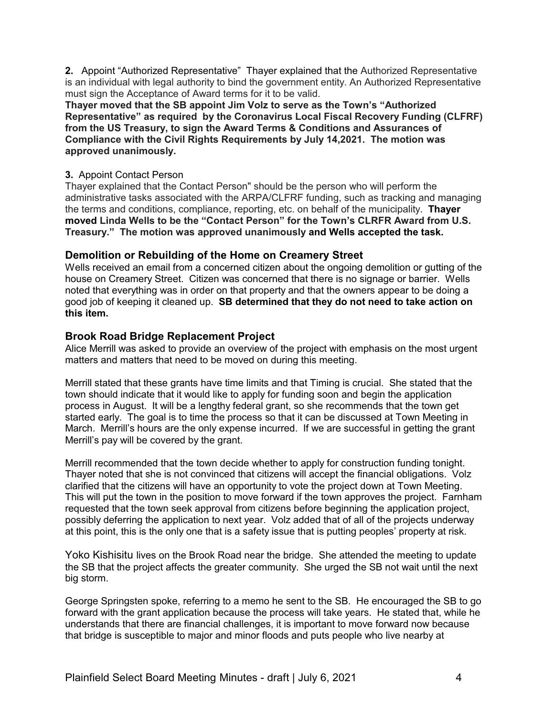**2.** Appoint "Authorized Representative" Thayer explained that the Authorized Representative is an individual with legal authority to bind the government entity. An Authorized Representative must sign the Acceptance of Award terms for it to be valid.

**Thayer moved that the SB appoint Jim Volz to serve as the Town's "Authorized Representative" as required by the Coronavirus Local Fiscal Recovery Funding (CLFRF) from the US Treasury, to sign the Award Terms & Conditions and Assurances of Compliance with the Civil Rights Requirements by July 14,2021. The motion was approved unanimously.**

### **3.** Appoint Contact Person

Thayer explained that the Contact Person" should be the person who will perform the administrative tasks associated with the ARPA/CLFRF funding, such as tracking and managing the terms and conditions, compliance, reporting, etc. on behalf of the municipality. **Thayer moved Linda Wells to be the "Contact Person" for the Town's CLRFR Award from U.S. Treasury." The motion was approved unanimously and Wells accepted the task.**

## **Demolition or Rebuilding of the Home on Creamery Street**

Wells received an email from a concerned citizen about the ongoing demolition or gutting of the house on Creamery Street. Citizen was concerned that there is no signage or barrier. Wells noted that everything was in order on that property and that the owners appear to be doing a good job of keeping it cleaned up. **SB determined that they do not need to take action on this item.**

## **Brook Road Bridge Replacement Project**

Alice Merrill was asked to provide an overview of the project with emphasis on the most urgent matters and matters that need to be moved on during this meeting.

Merrill stated that these grants have time limits and that Timing is crucial. She stated that the town should indicate that it would like to apply for funding soon and begin the application process in August. It will be a lengthy federal grant, so she recommends that the town get started early. The goal is to time the process so that it can be discussed at Town Meeting in March. Merrill's hours are the only expense incurred. If we are successful in getting the grant Merrill's pay will be covered by the grant.

Merrill recommended that the town decide whether to apply for construction funding tonight. Thayer noted that she is not convinced that citizens will accept the financial obligations. Volz clarified that the citizens will have an opportunity to vote the project down at Town Meeting. This will put the town in the position to move forward if the town approves the project. Farnham requested that the town seek approval from citizens before beginning the application project, possibly deferring the application to next year. Volz added that of all of the projects underway at this point, this is the only one that is a safety issue that is putting peoples' property at risk.

Yoko Kishisitu lives on the Brook Road near the bridge. She attended the meeting to update the SB that the project affects the greater community. She urged the SB not wait until the next big storm.

George Springsten spoke, referring to a memo he sent to the SB. He encouraged the SB to go forward with the grant application because the process will take years. He stated that, while he understands that there are financial challenges, it is important to move forward now because that bridge is susceptible to major and minor floods and puts people who live nearby at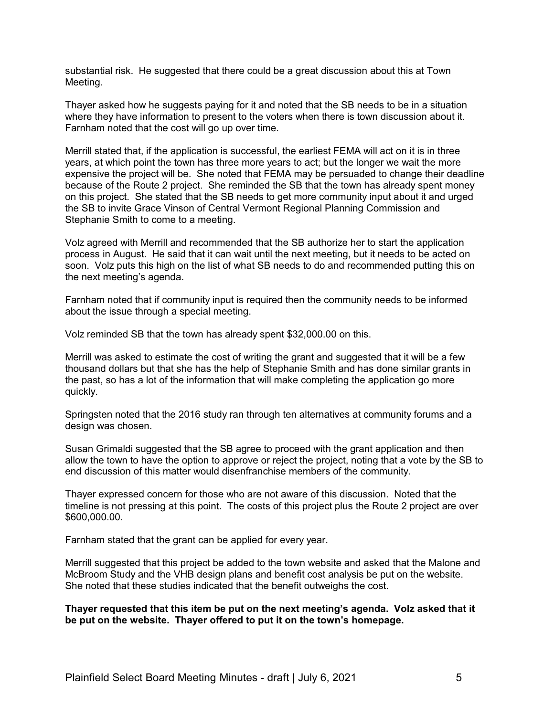substantial risk. He suggested that there could be a great discussion about this at Town Meeting.

Thayer asked how he suggests paying for it and noted that the SB needs to be in a situation where they have information to present to the voters when there is town discussion about it. Farnham noted that the cost will go up over time.

Merrill stated that, if the application is successful, the earliest FEMA will act on it is in three years, at which point the town has three more years to act; but the longer we wait the more expensive the project will be. She noted that FEMA may be persuaded to change their deadline because of the Route 2 project. She reminded the SB that the town has already spent money on this project. She stated that the SB needs to get more community input about it and urged the SB to invite Grace Vinson of Central Vermont Regional Planning Commission and Stephanie Smith to come to a meeting.

Volz agreed with Merrill and recommended that the SB authorize her to start the application process in August. He said that it can wait until the next meeting, but it needs to be acted on soon. Volz puts this high on the list of what SB needs to do and recommended putting this on the next meeting's agenda.

Farnham noted that if community input is required then the community needs to be informed about the issue through a special meeting.

Volz reminded SB that the town has already spent \$32,000.00 on this.

Merrill was asked to estimate the cost of writing the grant and suggested that it will be a few thousand dollars but that she has the help of Stephanie Smith and has done similar grants in the past, so has a lot of the information that will make completing the application go more quickly.

Springsten noted that the 2016 study ran through ten alternatives at community forums and a design was chosen.

Susan Grimaldi suggested that the SB agree to proceed with the grant application and then allow the town to have the option to approve or reject the project, noting that a vote by the SB to end discussion of this matter would disenfranchise members of the community.

Thayer expressed concern for those who are not aware of this discussion. Noted that the timeline is not pressing at this point. The costs of this project plus the Route 2 project are over \$600,000.00.

Farnham stated that the grant can be applied for every year.

Merrill suggested that this project be added to the town website and asked that the Malone and McBroom Study and the VHB design plans and benefit cost analysis be put on the website. She noted that these studies indicated that the benefit outweighs the cost.

**Thayer requested that this item be put on the next meeting's agenda. Volz asked that it be put on the website. Thayer offered to put it on the town's homepage.**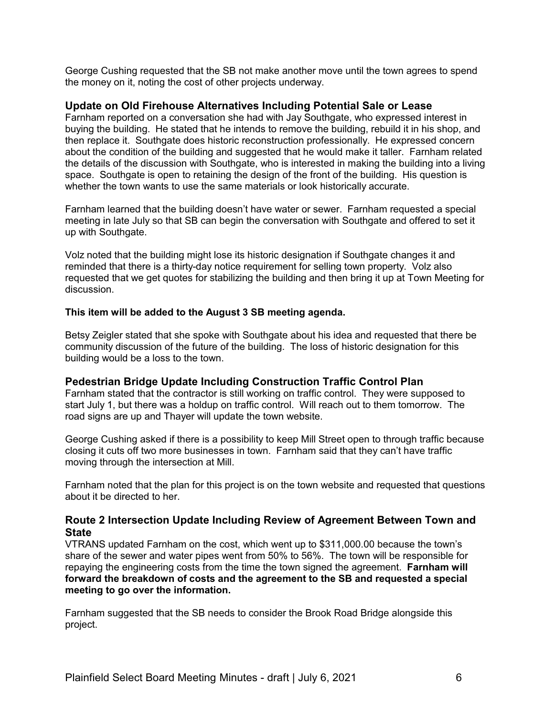George Cushing requested that the SB not make another move until the town agrees to spend the money on it, noting the cost of other projects underway.

#### **Update on Old Firehouse Alternatives Including Potential Sale or Lease**

Farnham reported on a conversation she had with Jay Southgate, who expressed interest in buying the building. He stated that he intends to remove the building, rebuild it in his shop, and then replace it. Southgate does historic reconstruction professionally. He expressed concern about the condition of the building and suggested that he would make it taller. Farnham related the details of the discussion with Southgate, who is interested in making the building into a living space. Southgate is open to retaining the design of the front of the building. His question is whether the town wants to use the same materials or look historically accurate.

Farnham learned that the building doesn't have water or sewer. Farnham requested a special meeting in late July so that SB can begin the conversation with Southgate and offered to set it up with Southgate.

Volz noted that the building might lose its historic designation if Southgate changes it and reminded that there is a thirty-day notice requirement for selling town property. Volz also requested that we get quotes for stabilizing the building and then bring it up at Town Meeting for discussion.

#### **This item will be added to the August 3 SB meeting agenda.**

Betsy Zeigler stated that she spoke with Southgate about his idea and requested that there be community discussion of the future of the building. The loss of historic designation for this building would be a loss to the town.

#### **Pedestrian Bridge Update Including Construction Traffic Control Plan**

Farnham stated that the contractor is still working on traffic control. They were supposed to start July 1, but there was a holdup on traffic control. Will reach out to them tomorrow. The road signs are up and Thayer will update the town website.

George Cushing asked if there is a possibility to keep Mill Street open to through traffic because closing it cuts off two more businesses in town. Farnham said that they can't have traffic moving through the intersection at Mill.

Farnham noted that the plan for this project is on the town website and requested that questions about it be directed to her.

### **Route 2 Intersection Update Including Review of Agreement Between Town and State**

VTRANS updated Farnham on the cost, which went up to \$311,000.00 because the town's share of the sewer and water pipes went from 50% to 56%. The town will be responsible for repaying the engineering costs from the time the town signed the agreement. **Farnham will forward the breakdown of costs and the agreement to the SB and requested a special meeting to go over the information.**

Farnham suggested that the SB needs to consider the Brook Road Bridge alongside this project.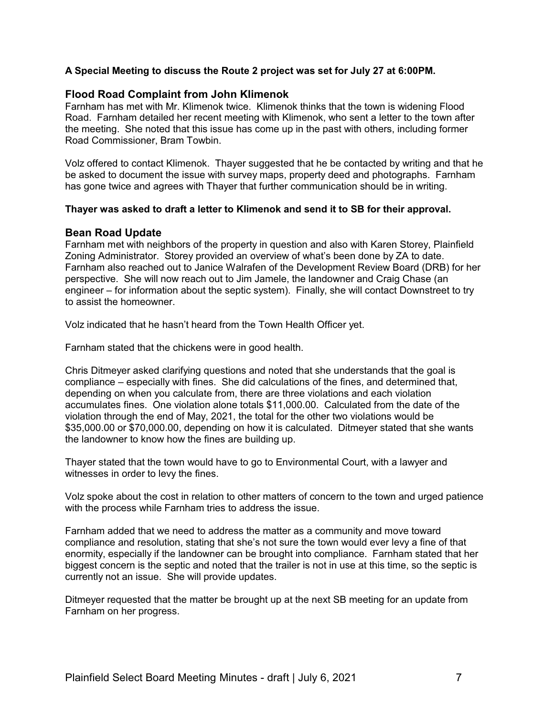#### **A Special Meeting to discuss the Route 2 project was set for July 27 at 6:00PM.**

#### **Flood Road Complaint from John Klimenok**

Farnham has met with Mr. Klimenok twice. Klimenok thinks that the town is widening Flood Road. Farnham detailed her recent meeting with Klimenok, who sent a letter to the town after the meeting. She noted that this issue has come up in the past with others, including former Road Commissioner, Bram Towbin.

Volz offered to contact Klimenok. Thayer suggested that he be contacted by writing and that he be asked to document the issue with survey maps, property deed and photographs. Farnham has gone twice and agrees with Thayer that further communication should be in writing.

#### **Thayer was asked to draft a letter to Klimenok and send it to SB for their approval.**

#### **Bean Road Update**

Farnham met with neighbors of the property in question and also with Karen Storey, Plainfield Zoning Administrator. Storey provided an overview of what's been done by ZA to date. Farnham also reached out to Janice Walrafen of the Development Review Board (DRB) for her perspective. She will now reach out to Jim Jamele, the landowner and Craig Chase (an engineer – for information about the septic system). Finally, she will contact Downstreet to try to assist the homeowner.

Volz indicated that he hasn't heard from the Town Health Officer yet.

Farnham stated that the chickens were in good health.

Chris Ditmeyer asked clarifying questions and noted that she understands that the goal is compliance – especially with fines. She did calculations of the fines, and determined that, depending on when you calculate from, there are three violations and each violation accumulates fines. One violation alone totals \$11,000.00. Calculated from the date of the violation through the end of May, 2021, the total for the other two violations would be \$35,000.00 or \$70,000.00, depending on how it is calculated. Ditmeyer stated that she wants the landowner to know how the fines are building up.

Thayer stated that the town would have to go to Environmental Court, with a lawyer and witnesses in order to levy the fines.

Volz spoke about the cost in relation to other matters of concern to the town and urged patience with the process while Farnham tries to address the issue.

Farnham added that we need to address the matter as a community and move toward compliance and resolution, stating that she's not sure the town would ever levy a fine of that enormity, especially if the landowner can be brought into compliance. Farnham stated that her biggest concern is the septic and noted that the trailer is not in use at this time, so the septic is currently not an issue. She will provide updates.

Ditmeyer requested that the matter be brought up at the next SB meeting for an update from Farnham on her progress.